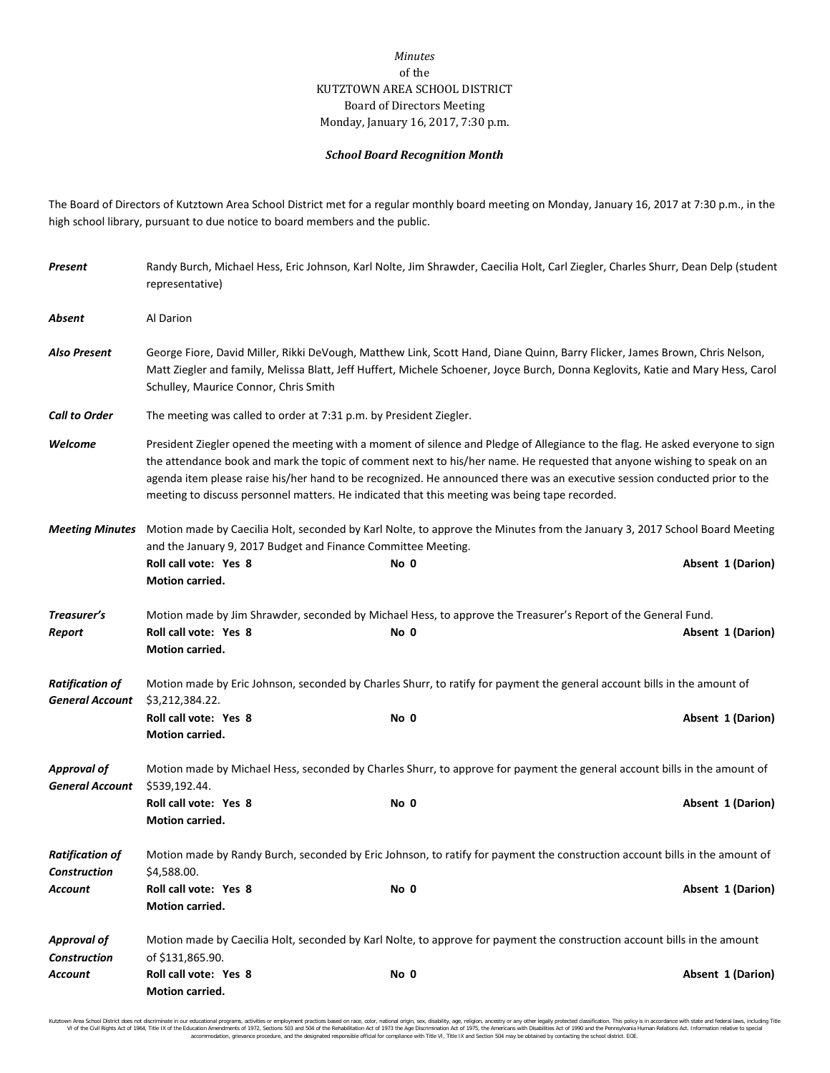## *Minutes* of the KUTZTOWN AREA SCHOOL DISTRICT Board of Directors Meeting Monday, January 16, 2017, 7:30 p.m.

## *School Board Recognition Month*

The Board of Directors of Kutztown Area School District met for a regular monthly board meeting on Monday, January 16, 2017 at 7:30 p.m., in the high school library, pursuant to due notice to board members and the public.

| Present                                          | Randy Burch, Michael Hess, Eric Johnson, Karl Nolte, Jim Shrawder, Caecilia Holt, Carl Ziegler, Charles Shurr, Dean Delp (student<br>representative)                                                                                                                                                                                                                                                                                                                                    |      |                                                                                                                                    |  |  |
|--------------------------------------------------|-----------------------------------------------------------------------------------------------------------------------------------------------------------------------------------------------------------------------------------------------------------------------------------------------------------------------------------------------------------------------------------------------------------------------------------------------------------------------------------------|------|------------------------------------------------------------------------------------------------------------------------------------|--|--|
| Absent                                           | Al Darion                                                                                                                                                                                                                                                                                                                                                                                                                                                                               |      |                                                                                                                                    |  |  |
| <b>Also Present</b>                              | George Fiore, David Miller, Rikki DeVough, Matthew Link, Scott Hand, Diane Quinn, Barry Flicker, James Brown, Chris Nelson,<br>Matt Ziegler and family, Melissa Blatt, Jeff Huffert, Michele Schoener, Joyce Burch, Donna Keglovits, Katie and Mary Hess, Carol<br>Schulley, Maurice Connor, Chris Smith                                                                                                                                                                                |      |                                                                                                                                    |  |  |
| <b>Call to Order</b>                             | The meeting was called to order at 7:31 p.m. by President Ziegler.                                                                                                                                                                                                                                                                                                                                                                                                                      |      |                                                                                                                                    |  |  |
| Welcome                                          | President Ziegler opened the meeting with a moment of silence and Pledge of Allegiance to the flag. He asked everyone to sign<br>the attendance book and mark the topic of comment next to his/her name. He requested that anyone wishing to speak on an<br>agenda item please raise his/her hand to be recognized. He announced there was an executive session conducted prior to the<br>meeting to discuss personnel matters. He indicated that this meeting was being tape recorded. |      |                                                                                                                                    |  |  |
| <b>Meeting Minutes</b>                           | Motion made by Caecilia Holt, seconded by Karl Nolte, to approve the Minutes from the January 3, 2017 School Board Meeting<br>and the January 9, 2017 Budget and Finance Committee Meeting.                                                                                                                                                                                                                                                                                             |      |                                                                                                                                    |  |  |
|                                                  | Roll call vote: Yes 8<br>Motion carried.                                                                                                                                                                                                                                                                                                                                                                                                                                                | No 0 | Absent 1 (Darion)                                                                                                                  |  |  |
| Treasurer's<br>Report                            | Roll call vote: Yes 8<br>Motion carried.                                                                                                                                                                                                                                                                                                                                                                                                                                                | No 0 | Motion made by Jim Shrawder, seconded by Michael Hess, to approve the Treasurer's Report of the General Fund.<br>Absent 1 (Darion) |  |  |
| <b>Ratification of</b><br><b>General Account</b> | Motion made by Eric Johnson, seconded by Charles Shurr, to ratify for payment the general account bills in the amount of<br>\$3,212,384.22.                                                                                                                                                                                                                                                                                                                                             |      |                                                                                                                                    |  |  |
|                                                  | Roll call vote: Yes 8<br>Motion carried.                                                                                                                                                                                                                                                                                                                                                                                                                                                | No 0 | Absent 1 (Darion)                                                                                                                  |  |  |
| <b>Approval of</b><br><b>General Account</b>     | \$539,192.44.                                                                                                                                                                                                                                                                                                                                                                                                                                                                           |      | Motion made by Michael Hess, seconded by Charles Shurr, to approve for payment the general account bills in the amount of          |  |  |
|                                                  | Roll call vote: Yes 8<br>Motion carried.                                                                                                                                                                                                                                                                                                                                                                                                                                                | No 0 | Absent 1 (Darion)                                                                                                                  |  |  |
| <b>Ratification of</b><br><b>Construction</b>    | Motion made by Randy Burch, seconded by Eric Johnson, to ratify for payment the construction account bills in the amount of<br>\$4,588.00.                                                                                                                                                                                                                                                                                                                                              |      |                                                                                                                                    |  |  |
| Account                                          | Roll call vote: Yes 8<br><b>Motion carried.</b>                                                                                                                                                                                                                                                                                                                                                                                                                                         | No 0 | Absent 1 (Darion)                                                                                                                  |  |  |
| <b>Approval of</b><br><b>Construction</b>        | Motion made by Caecilia Holt, seconded by Karl Nolte, to approve for payment the construction account bills in the amount<br>of \$131,865.90.                                                                                                                                                                                                                                                                                                                                           |      |                                                                                                                                    |  |  |
| Account                                          | Roll call vote: Yes 8<br>Motion carried.                                                                                                                                                                                                                                                                                                                                                                                                                                                | No 0 | Absent 1 (Darion)                                                                                                                  |  |  |

Kutzown Area School District does not discriminate in our oducational programs, activities or employment practices based on ractional origin, sex, disability, so, et also in the case of the Rehabilitation Act of 1973 the A accommodation, grievance procedure, and the designated responsible official for compliance with Title VI, Title IX and Section 504 may be obtained by contacting the school district. EOE.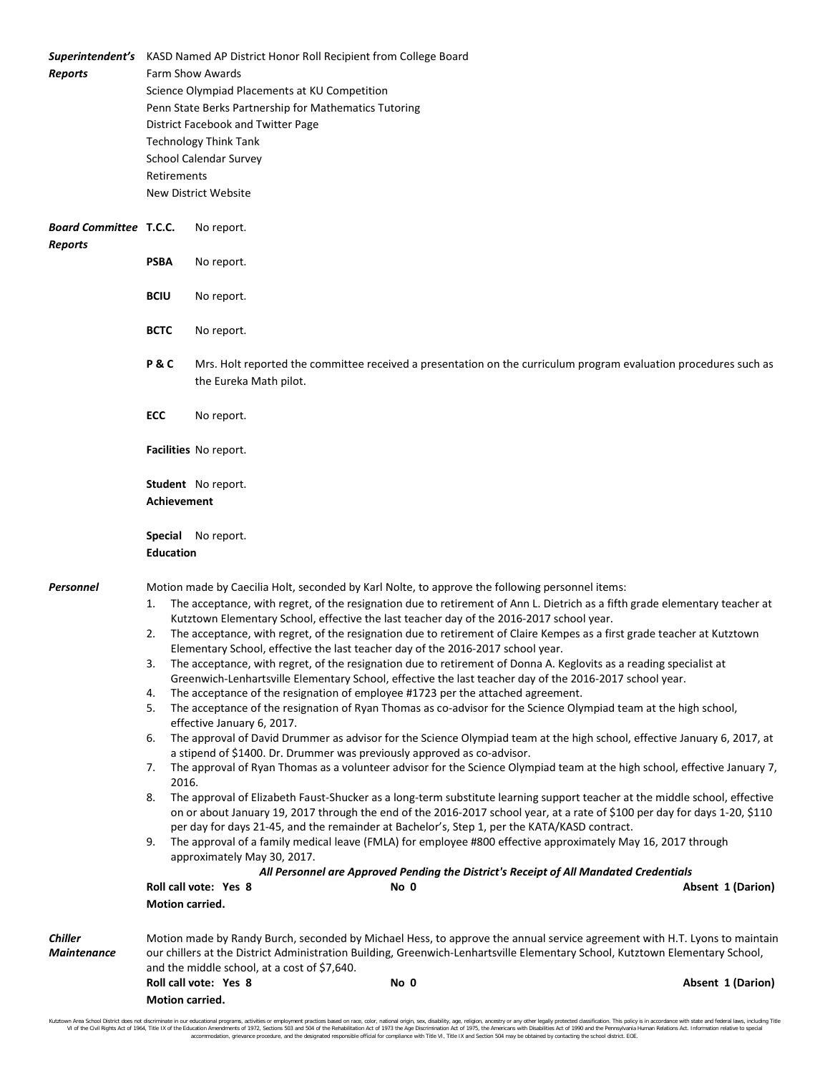| <b>Reports</b>                                  | Retirements                                                                                                                                       | <b>Superintendent's</b> KASD Named AP District Honor Roll Recipient from College Board<br>Farm Show Awards<br>Science Olympiad Placements at KU Competition<br>Penn State Berks Partnership for Mathematics Tutoring<br>District Facebook and Twitter Page<br><b>Technology Think Tank</b><br>School Calendar Survey<br>New District Website                                                                                                                                                                                                                                                                                                                                                                                                                                                                                                                                                                                                                                                                                                                                                                                                                                                                                                                                                                                                                                                                                                                                                                                                                                                                                                                                                                                                                                                                                                                                                                                                                                                                 |      |                                                                                                                                                                                                                                                                                |  |
|-------------------------------------------------|---------------------------------------------------------------------------------------------------------------------------------------------------|--------------------------------------------------------------------------------------------------------------------------------------------------------------------------------------------------------------------------------------------------------------------------------------------------------------------------------------------------------------------------------------------------------------------------------------------------------------------------------------------------------------------------------------------------------------------------------------------------------------------------------------------------------------------------------------------------------------------------------------------------------------------------------------------------------------------------------------------------------------------------------------------------------------------------------------------------------------------------------------------------------------------------------------------------------------------------------------------------------------------------------------------------------------------------------------------------------------------------------------------------------------------------------------------------------------------------------------------------------------------------------------------------------------------------------------------------------------------------------------------------------------------------------------------------------------------------------------------------------------------------------------------------------------------------------------------------------------------------------------------------------------------------------------------------------------------------------------------------------------------------------------------------------------------------------------------------------------------------------------------------------------|------|--------------------------------------------------------------------------------------------------------------------------------------------------------------------------------------------------------------------------------------------------------------------------------|--|
| <b>Board Committee T.C.C.</b><br><b>Reports</b> |                                                                                                                                                   | No report.                                                                                                                                                                                                                                                                                                                                                                                                                                                                                                                                                                                                                                                                                                                                                                                                                                                                                                                                                                                                                                                                                                                                                                                                                                                                                                                                                                                                                                                                                                                                                                                                                                                                                                                                                                                                                                                                                                                                                                                                   |      |                                                                                                                                                                                                                                                                                |  |
|                                                 | <b>PSBA</b>                                                                                                                                       | No report.                                                                                                                                                                                                                                                                                                                                                                                                                                                                                                                                                                                                                                                                                                                                                                                                                                                                                                                                                                                                                                                                                                                                                                                                                                                                                                                                                                                                                                                                                                                                                                                                                                                                                                                                                                                                                                                                                                                                                                                                   |      |                                                                                                                                                                                                                                                                                |  |
|                                                 | <b>BCIU</b>                                                                                                                                       | No report.                                                                                                                                                                                                                                                                                                                                                                                                                                                                                                                                                                                                                                                                                                                                                                                                                                                                                                                                                                                                                                                                                                                                                                                                                                                                                                                                                                                                                                                                                                                                                                                                                                                                                                                                                                                                                                                                                                                                                                                                   |      |                                                                                                                                                                                                                                                                                |  |
|                                                 | <b>BCTC</b>                                                                                                                                       | No report.                                                                                                                                                                                                                                                                                                                                                                                                                                                                                                                                                                                                                                                                                                                                                                                                                                                                                                                                                                                                                                                                                                                                                                                                                                                                                                                                                                                                                                                                                                                                                                                                                                                                                                                                                                                                                                                                                                                                                                                                   |      |                                                                                                                                                                                                                                                                                |  |
|                                                 | P&C<br>Mrs. Holt reported the committee received a presentation on the curriculum program evaluation procedures such as<br>the Eureka Math pilot. |                                                                                                                                                                                                                                                                                                                                                                                                                                                                                                                                                                                                                                                                                                                                                                                                                                                                                                                                                                                                                                                                                                                                                                                                                                                                                                                                                                                                                                                                                                                                                                                                                                                                                                                                                                                                                                                                                                                                                                                                              |      |                                                                                                                                                                                                                                                                                |  |
|                                                 | <b>ECC</b>                                                                                                                                        | No report.                                                                                                                                                                                                                                                                                                                                                                                                                                                                                                                                                                                                                                                                                                                                                                                                                                                                                                                                                                                                                                                                                                                                                                                                                                                                                                                                                                                                                                                                                                                                                                                                                                                                                                                                                                                                                                                                                                                                                                                                   |      |                                                                                                                                                                                                                                                                                |  |
|                                                 | Facilities No report.                                                                                                                             |                                                                                                                                                                                                                                                                                                                                                                                                                                                                                                                                                                                                                                                                                                                                                                                                                                                                                                                                                                                                                                                                                                                                                                                                                                                                                                                                                                                                                                                                                                                                                                                                                                                                                                                                                                                                                                                                                                                                                                                                              |      |                                                                                                                                                                                                                                                                                |  |
|                                                 | Student No report.<br>Achievement                                                                                                                 |                                                                                                                                                                                                                                                                                                                                                                                                                                                                                                                                                                                                                                                                                                                                                                                                                                                                                                                                                                                                                                                                                                                                                                                                                                                                                                                                                                                                                                                                                                                                                                                                                                                                                                                                                                                                                                                                                                                                                                                                              |      |                                                                                                                                                                                                                                                                                |  |
|                                                 | <b>Special</b> No report.<br><b>Education</b>                                                                                                     |                                                                                                                                                                                                                                                                                                                                                                                                                                                                                                                                                                                                                                                                                                                                                                                                                                                                                                                                                                                                                                                                                                                                                                                                                                                                                                                                                                                                                                                                                                                                                                                                                                                                                                                                                                                                                                                                                                                                                                                                              |      |                                                                                                                                                                                                                                                                                |  |
| Personnel                                       | 1.<br>2.<br>3.<br>4.<br>5.<br>6.<br>7.<br>2016.<br>8.<br>9.<br>Motion carried.                                                                    | Motion made by Caecilia Holt, seconded by Karl Nolte, to approve the following personnel items:<br>The acceptance, with regret, of the resignation due to retirement of Ann L. Dietrich as a fifth grade elementary teacher at<br>Kutztown Elementary School, effective the last teacher day of the 2016-2017 school year.<br>The acceptance, with regret, of the resignation due to retirement of Claire Kempes as a first grade teacher at Kutztown<br>Elementary School, effective the last teacher day of the 2016-2017 school year.<br>The acceptance, with regret, of the resignation due to retirement of Donna A. Keglovits as a reading specialist at<br>Greenwich-Lenhartsville Elementary School, effective the last teacher day of the 2016-2017 school year.<br>The acceptance of the resignation of employee #1723 per the attached agreement.<br>The acceptance of the resignation of Ryan Thomas as co-advisor for the Science Olympiad team at the high school,<br>effective January 6, 2017.<br>The approval of David Drummer as advisor for the Science Olympiad team at the high school, effective January 6, 2017, at<br>a stipend of \$1400. Dr. Drummer was previously approved as co-advisor.<br>The approval of Ryan Thomas as a volunteer advisor for the Science Olympiad team at the high school, effective January 7,<br>The approval of Elizabeth Faust-Shucker as a long-term substitute learning support teacher at the middle school, effective<br>on or about January 19, 2017 through the end of the 2016-2017 school year, at a rate of \$100 per day for days 1-20, \$110<br>per day for days 21-45, and the remainder at Bachelor's, Step 1, per the KATA/KASD contract.<br>The approval of a family medical leave (FMLA) for employee #800 effective approximately May 16, 2017 through<br>approximately May 30, 2017.<br>All Personnel are Approved Pending the District's Receipt of All Mandated Credentials<br>Roll call vote: Yes 8<br>Absent 1 (Darion)<br>No 0 |      |                                                                                                                                                                                                                                                                                |  |
| <b>Chiller</b><br>Maintenance                   | Motion carried.                                                                                                                                   | and the middle school, at a cost of \$7,640.<br>Roll call vote: Yes 8                                                                                                                                                                                                                                                                                                                                                                                                                                                                                                                                                                                                                                                                                                                                                                                                                                                                                                                                                                                                                                                                                                                                                                                                                                                                                                                                                                                                                                                                                                                                                                                                                                                                                                                                                                                                                                                                                                                                        | No 0 | Motion made by Randy Burch, seconded by Michael Hess, to approve the annual service agreement with H.T. Lyons to maintain<br>our chillers at the District Administration Building, Greenwich-Lenhartsville Elementary School, Kutztown Elementary School,<br>Absent 1 (Darion) |  |

Kutztown Area School District does not discriminate in our educational programs, activities or employment practices based on race, color, national origin, sex, disability, age, religion, ancestry or any other legally prot